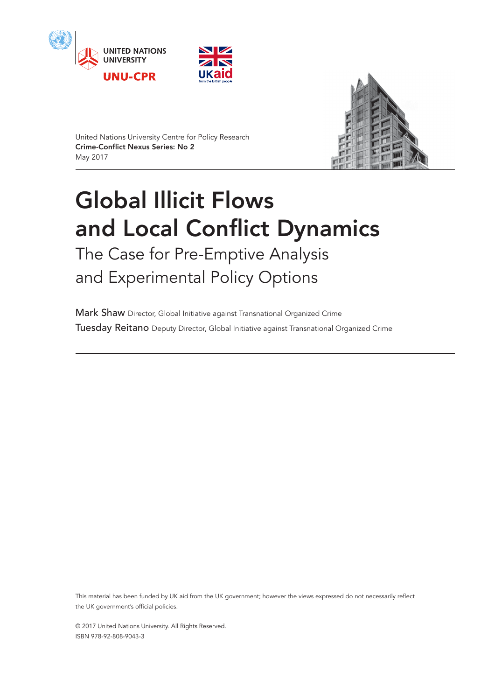





United Nations University Centre for Policy Research Crime-Conflict Nexus Series: No 2 May 2017

# Global Illicit Flows and Local Conflict Dynamics

The Case for Pre-Emptive Analysis and Experimental Policy Options

Mark Shaw Director, Global Initiative against Transnational Organized Crime Tuesday Reitano Deputy Director, Global Initiative against Transnational Organized Crime

This material has been funded by UK aid from the UK government; however the views expressed do not necessarily reflect the UK government's official policies.

© 2017 United Nations University. All Rights Reserved. ISBN 978-92-808-9043-3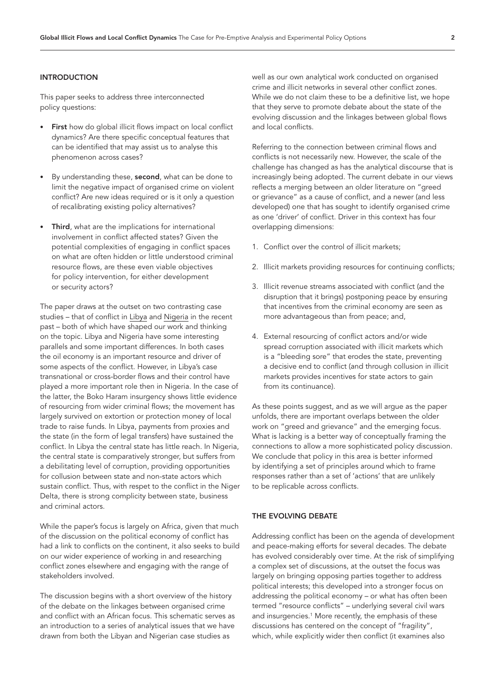#### INTRODUCTION

This paper seeks to address three interconnected policy questions:

- First how do global illicit flows impact on local conflict dynamics? Are there specific conceptual features that can be identified that may assist us to analyse this phenomenon across cases?
- By understanding these, second, what can be done to limit the negative impact of organised crime on violent conflict? Are new ideas required or is it only a question of recalibrating existing policy alternatives?
- Third, what are the implications for international involvement in conflict affected states? Given the potential complexities of engaging in conflict spaces on what are often hidden or little understood criminal resource flows, are these even viable objectives for policy intervention, for either development or security actors?

The paper draws at the outset on two contrasting case studies – that of conflict in Libya and [Nigeria](https://cpr.unu.edu/conflict-obscurity-criminality-in-nigeria.html) in the recent past – both of which have shaped our work and thinking on the topic. Libya and Nigeria have some interesting parallels and some important differences. In both cases the oil economy is an important resource and driver of some aspects of the conflict. However, in Libya's case transnational or cross-border flows and their control have played a more important role then in Nigeria. In the case of the latter, the Boko Haram insurgency shows little evidence of resourcing from wider criminal flows; the movement has largely survived on extortion or protection money of local trade to raise funds. In Libya, payments from proxies and the state (in the form of legal transfers) have sustained the conflict. In Libya the central state has little reach. In Nigeria, the central state is comparatively stronger, but suffers from a debilitating level of corruption, providing opportunities for collusion between state and non-state actors which sustain conflict. Thus, with respet to the conflict in the Niger Delta, there is strong complicity between state, business and criminal actors.

While the paper's focus is largely on Africa, given that much of the discussion on the political economy of conflict has had a link to conflicts on the continent, it also seeks to build on our wider experience of working in and researching conflict zones elsewhere and engaging with the range of stakeholders involved.

The discussion begins with a short overview of the history of the debate on the linkages between organised crime and conflict with an African focus. This schematic serves as an introduction to a series of analytical issues that we have drawn from both the Libyan and Nigerian case studies as

well as our own analytical work conducted on organised crime and illicit networks in several other conflict zones. While we do not claim these to be a definitive list, we hope that they serve to promote debate about the state of the evolving discussion and the linkages between global flows and local conflicts.

Referring to the connection between criminal flows and conflicts is not necessarily new. However, the scale of the challenge has changed as has the analytical discourse that is increasingly being adopted. The current debate in our views reflects a merging between an older literature on "greed or grievance" as a cause of conflict, and a newer (and less developed) one that has sought to identify organised crime as one 'driver' of conflict. Driver in this context has four overlapping dimensions:

- 1. Conflict over the control of illicit markets;
- 2. Illicit markets providing resources for continuing conflicts;
- 3. Illicit revenue streams associated with conflict (and the disruption that it brings) postponing peace by ensuring that incentives from the criminal economy are seen as more advantageous than from peace; and,
- 4. External resourcing of conflict actors and/or wide spread corruption associated with illicit markets which is a "bleeding sore" that erodes the state, preventing a decisive end to conflict (and through collusion in illicit markets provides incentives for state actors to gain from its continuance).

As these points suggest, and as we will argue as the paper unfolds, there are important overlaps between the older work on "greed and grievance" and the emerging focus. What is lacking is a better way of conceptually framing the connections to allow a more sophisticated policy discussion. We conclude that policy in this area is better informed by identifying a set of principles around which to frame responses rather than a set of 'actions' that are unlikely to be replicable across conflicts.

#### THE EVOLVING DEBATE

Addressing conflict has been on the agenda of development and peace-making efforts for several decades. The debate has evolved considerably over time. At the risk of simplifying a complex set of discussions, at the outset the focus was largely on bringing opposing parties together to address political interests; this developed into a stronger focus on addressing the political economy – or what has often been termed "resource conflicts" – underlying several civil wars and insurgencies[.1](#page-12-0) More recently, the emphasis of these discussions has centered on the concept of "fragility", which, while explicitly wider then conflict (it examines also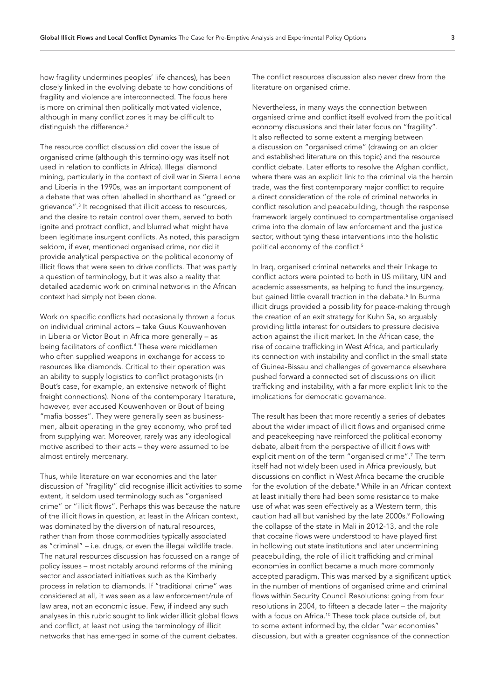how fragility undermines peoples' life chances), has been closely linked in the evolving debate to how conditions of fragility and violence are interconnected. The focus here is more on criminal then politically motivated violence, although in many conflict zones it may be difficult to distinguish the difference.<sup>[2](#page-12-1)</sup>

The resource conflict discussion did cover the issue of organised crime (although this terminology was itself not used in relation to conflicts in Africa). Illegal diamond mining, particularly in the context of civil war in Sierra Leone and Liberia in the 1990s, was an important component of a debate that was often labelled in shorthand as "greed or grievance"[.3](#page-12-2) It recognised that illicit access to resources, and the desire to retain control over them, served to both ignite and protract conflict, and blurred what might have been legitimate insurgent conflicts. As noted, this paradigm seldom, if ever, mentioned organised crime, nor did it provide analytical perspective on the political economy of illicit flows that were seen to drive conflicts. That was partly a question of terminology, but it was also a reality that detailed academic work on criminal networks in the African context had simply not been done.

Work on specific conflicts had occasionally thrown a focus on individual criminal actors – take Guus Kouwenhoven in Liberia or Victor Bout in Africa more generally – as being facilitators of conflict.[4](#page-12-3) These were middlemen who often supplied weapons in exchange for access to resources like diamonds. Critical to their operation was an ability to supply logistics to conflict protagonists (in Bout's case, for example, an extensive network of flight freight connections). None of the contemporary literature, however, ever accused Kouwenhoven or Bout of being "mafia bosses". They were generally seen as businessmen, albeit operating in the grey economy, who profited from supplying war. Moreover, rarely was any ideological motive ascribed to their acts – they were assumed to be almost entirely mercenary.

Thus, while literature on war economies and the later discussion of "fragility" did recognise illicit activities to some extent, it seldom used terminology such as "organised crime" or "illicit flows". Perhaps this was because the nature of the illicit flows in question, at least in the African context, was dominated by the diversion of natural resources, rather than from those commodities typically associated as "criminal" – i.e. drugs, or even the illegal wildlife trade. The natural resources discussion has focussed on a range of policy issues – most notably around reforms of the mining sector and associated initiatives such as the Kimberly process in relation to diamonds. If "traditional crime" was considered at all, it was seen as a law enforcement/rule of law area, not an economic issue. Few, if indeed any such analyses in this rubric sought to link wider illicit global flows and conflict, at least not using the terminology of illicit networks that has emerged in some of the current debates.

The conflict resources discussion also never drew from the literature on organised crime.

Nevertheless, in many ways the connection between organised crime and conflict itself evolved from the political economy discussions and their later focus on "fragility". It also reflected to some extent a merging between a discussion on "organised crime" (drawing on an older and established literature on this topic) and the resource conflict debate. Later efforts to resolve the Afghan conflict, where there was an explicit link to the criminal via the heroin trade, was the first contemporary major conflict to require a direct consideration of the role of criminal networks in conflict resolution and peacebuilding, though the response framework largely continued to compartmentalise organised crime into the domain of law enforcement and the justice sector, without tying these interventions into the holistic political economy of the conflict.<sup>5</sup>

In Iraq, organised criminal networks and their linkage to conflict actors were pointed to both in US military, UN and academic assessments, as helping to fund the insurgency, but gained little overall traction in the debate.<sup>6</sup> In Burma illicit drugs provided a possibility for peace-making through the creation of an exit strategy for Kuhn Sa, so arguably providing little interest for outsiders to pressure decisive action against the illicit market. In the African case, the rise of cocaine trafficking in West Africa, and particularly its connection with instability and conflict in the small state of Guinea-Bissau and challenges of governance elsewhere pushed forward a connected set of discussions on illicit trafficking and instability, with a far more explicit link to the implications for democratic governance.

The result has been that more recently a series of debates about the wider impact of illicit flows and organised crime and peacekeeping have reinforced the political economy debate, albeit from the perspective of illicit flows with explicit mention of the term "organised crime".<sup>[7](#page-12-6)</sup> The term itself had not widely been used in Africa previously, but discussions on conflict in West Africa became the crucible for the evolution of the debate.<sup>8</sup> While in an African context at least initially there had been some resistance to make use of what was seen effectively as a Western term, this caution had all but vanished by the late 2000s.<sup>9</sup> Following the collapse of the state in Mali in 2012-13, and the role that cocaine flows were understood to have played first in hollowing out state institutions and later undermining peacebuilding, the role of illicit trafficking and criminal economies in conflict became a much more commonly accepted paradigm. This was marked by a significant uptick in the number of mentions of organised crime and criminal flows within Security Council Resolutions: going from four resolutions in 2004, to fifteen a decade later – the majority with a focus on Africa.[10](#page-12-9) These took place outside of, but to some extent informed by, the older "war economies" discussion, but with a greater cognisance of the connection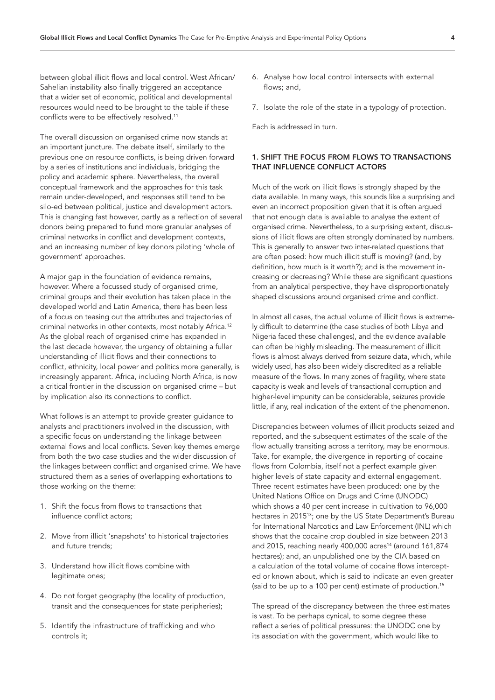between global illicit flows and local control. West African/ Sahelian instability also finally triggered an acceptance that a wider set of economic, political and developmental resources would need to be brought to the table if these conflicts were to be effectively resolved.[11](#page-12-10)

The overall discussion on organised crime now stands at an important juncture. The debate itself, similarly to the previous one on resource conflicts, is being driven forward by a series of institutions and individuals, bridging the policy and academic sphere. Nevertheless, the overall conceptual framework and the approaches for this task remain under-developed, and responses still tend to be silo-ed between political, justice and development actors. This is changing fast however, partly as a reflection of several donors being prepared to fund more granular analyses of criminal networks in conflict and development contexts, and an increasing number of key donors piloting 'whole of government' approaches.

A major gap in the foundation of evidence remains, however. Where a focussed study of organised crime, criminal groups and their evolution has taken place in the developed world and Latin America, there has been less of a focus on teasing out the attributes and trajectories of criminal networks in other contexts, most notably Africa.[12](#page-12-11) As the global reach of organised crime has expanded in the last decade however, the urgency of obtaining a fuller understanding of illicit flows and their connections to conflict, ethnicity, local power and politics more generally, is increasingly apparent. Africa, including North Africa, is now a critical frontier in the discussion on organised crime – but by implication also its connections to conflict.

What follows is an attempt to provide greater guidance to analysts and practitioners involved in the discussion, with a specific focus on understanding the linkage between external flows and local conflicts. Seven key themes emerge from both the two case studies and the wider discussion of the linkages between conflict and organised crime. We have structured them as a series of overlapping exhortations to those working on the theme:

- 1. Shift the focus from flows to transactions that influence conflict actors;
- 2. Move from illicit 'snapshots' to historical trajectories and future trends;
- 3. Understand how illicit flows combine with legitimate ones;
- 4. Do not forget geography (the locality of production, transit and the consequences for state peripheries);
- 5. Identify the infrastructure of trafficking and who controls it;
- 6. Analyse how local control intersects with external flows; and,
- 7. Isolate the role of the state in a typology of protection.

Each is addressed in turn.

### 1. SHIFT THE FOCUS FROM FLOWS TO TRANSACTIONS THAT INFLUENCE CONFLICT ACTORS

Much of the work on illicit flows is strongly shaped by the data available. In many ways, this sounds like a surprising and even an incorrect proposition given that it is often argued that not enough data is available to analyse the extent of organised crime. Nevertheless, to a surprising extent, discussions of illicit flows are often strongly dominated by numbers. This is generally to answer two inter-related questions that are often posed: how much illicit stuff is moving? (and, by definition, how much is it worth?); and is the movement increasing or decreasing? While these are significant questions from an analytical perspective, they have disproportionately shaped discussions around organised crime and conflict.

In almost all cases, the actual volume of illicit flows is extremely difficult to determine (the case studies of both Libya and Nigeria faced these challenges), and the evidence available can often be highly misleading. The measurement of illicit flows is almost always derived from seizure data, which, while widely used, has also been widely discredited as a reliable measure of the flows. In many zones of fragility, where state capacity is weak and levels of transactional corruption and higher-level impunity can be considerable, seizures provide little, if any, real indication of the extent of the phenomenon.

Discrepancies between volumes of illicit products seized and reported, and the subsequent estimates of the scale of the flow actually transiting across a territory, may be enormous. Take, for example, the divergence in reporting of cocaine flows from Colombia, itself not a perfect example given higher levels of state capacity and external engagement. Three recent estimates have been produced: one by the United Nations Office on Drugs and Crime (UNODC) which shows a 40 per cent increase in cultivation to 96,000 hectares in 201[513;](#page-12-12) one by the US State Department's Bureau for International Narcotics and Law Enforcement (INL) which shows that the cocaine crop doubled in size between 2013 and 2015, reaching nearly 400,000 acres<sup>14</sup> (around  $161,874$ hectares); and, an unpublished one by the CIA based on a calculation of the total volume of cocaine flows intercepted or known about, which is said to indicate an even greater (said to be up to a 100 per cent) estimate of production.<sup>[15](#page-12-14)</sup>

The spread of the discrepancy between the three estimates is vast. To be perhaps cynical, to some degree these reflect a series of political pressures: the UNODC one by its association with the government, which would like to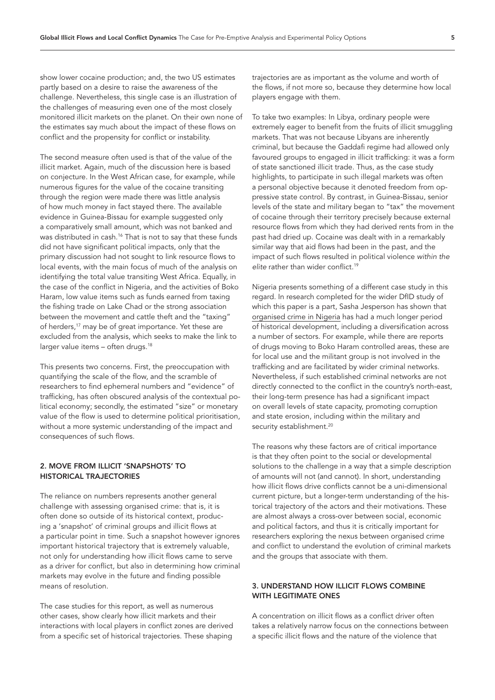show lower cocaine production; and, the two US estimates partly based on a desire to raise the awareness of the challenge. Nevertheless, this single case is an illustration of the challenges of measuring even one of the most closely monitored illicit markets on the planet. On their own none of the estimates say much about the impact of these flows on conflict and the propensity for conflict or instability.

The second measure often used is that of the value of the illicit market. Again, much of the discussion here is based on conjecture. In the West African case, for example, while numerous figures for the value of the cocaine transiting through the region were made there was little analysis of how much money in fact stayed there. The available evidence in Guinea-Bissau for example suggested only a comparatively small amount, which was not banked and was distributed in cash.<sup>16</sup> That is not to say that these funds did not have significant political impacts, only that the primary discussion had not sought to link resource flows to local events, with the main focus of much of the analysis on identifying the total value transiting West Africa. Equally, in the case of the conflict in Nigeria, and the activities of Boko Haram, low value items such as funds earned from taxing the fishing trade on Lake Chad or the strong association between the movement and cattle theft and the "taxing" of herders,<sup>17</sup> may be of great importance. Yet these are excluded from the analysis, which seeks to make the link to larger value items - often drugs.<sup>18</sup>

This presents two concerns. First, the preoccupation with quantifying the scale of the flow, and the scramble of researchers to find ephemeral numbers and "evidence" of trafficking, has often obscured analysis of the contextual political economy; secondly, the estimated "size" or monetary value of the flow is used to determine political prioritisation, without a more systemic understanding of the impact and consequences of such flows.

## 2. MOVE FROM ILLICIT 'SNAPSHOTS' TO HISTORICAL TRAJECTORIES

The reliance on numbers represents another general challenge with assessing organised crime: that is, it is often done so outside of its historical context, producing a 'snapshot' of criminal groups and illicit flows at a particular point in time. Such a snapshot however ignores important historical trajectory that is extremely valuable, not only for understanding how illicit flows came to serve as a driver for conflict, but also in determining how criminal markets may evolve in the future and finding possible means of resolution.

The case studies for this report, as well as numerous other cases, show clearly how illicit markets and their interactions with local players in conflict zones are derived from a specific set of historical trajectories. These shaping

trajectories are as important as the volume and worth of the flows, if not more so, because they determine how local players engage with them.

To take two examples: In Libya, ordinary people were extremely eager to benefit from the fruits of illicit smuggling markets. That was not because Libyans are inherently criminal, but because the Gaddafi regime had allowed only favoured groups to engaged in illicit trafficking: it was a form of state sanctioned illicit trade. Thus, as the case study highlights, to participate in such illegal markets was often a personal objective because it denoted freedom from oppressive state control. By contrast, in Guinea-Bissau, senior levels of the state and military began to "tax" the movement of cocaine through their territory precisely because external resource flows from which they had derived rents from in the past had dried up. Cocaine was dealt with in a remarkably similar way that aid flows had been in the past, and the impact of such flows resulted in political violence *within the*  elite rather than wider conflict.<sup>[19](#page-12-18)</sup>

Nigeria presents something of a different case study in this regard. In research completed for the wider DfID study of which this paper is a part, Sasha Jesperson has shown that [organised crime in Nigeria](https://cpr.unu.edu/conflict-obscurity-criminality-in-nigeria.html) has had a much longer period of historical development, including a diversification across a number of sectors. For example, while there are reports of drugs moving to Boko Haram controlled areas, these are for local use and the militant group is not involved in the trafficking and are facilitated by wider criminal networks. Nevertheless, if such established criminal networks are not directly connected to the conflict in the country's north-east, their long-term presence has had a significant impact on overall levels of state capacity, promoting corruption and state erosion, including within the military and security establishment.<sup>[20](#page-12-19)</sup>

The reasons why these factors are of critical importance is that they often point to the social or developmental solutions to the challenge in a way that a simple description of amounts will not (and cannot). In short, understanding how illicit flows drive conflicts cannot be a uni-dimensional current picture, but a longer-term understanding of the historical trajectory of the actors and their motivations. These are almost always a cross-over between social, economic and political factors, and thus it is critically important for researchers exploring the nexus between organised crime and conflict to understand the evolution of criminal markets and the groups that associate with them.

## 3. UNDERSTAND HOW ILLICIT FLOWS COMBINE WITH LEGITIMATE ONES

A concentration on illicit flows as a conflict driver often takes a relatively narrow focus on the connections between a specific illicit flows and the nature of the violence that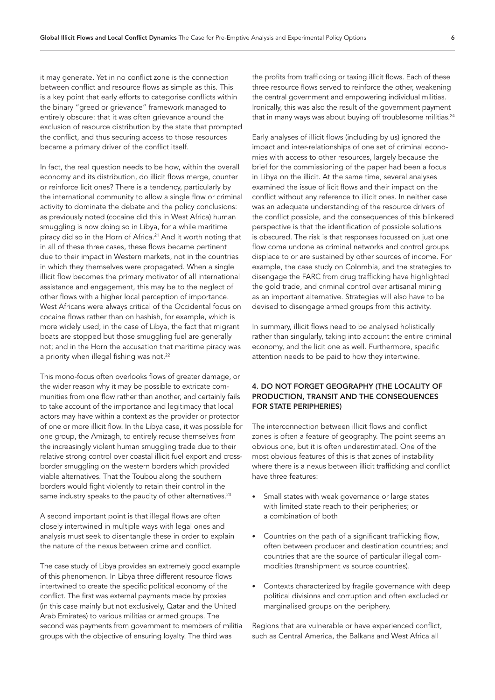it may generate. Yet in no conflict zone is the connection between conflict and resource flows as simple as this. This is a key point that early efforts to categorise conflicts within the binary "greed or grievance" framework managed to entirely obscure: that it was often grievance around the exclusion of resource distribution by the state that prompted the conflict, and thus securing access to those resources became a primary driver of the conflict itself.

In fact, the real question needs to be how, within the overall economy and its distribution, do illicit flows merge, counter or reinforce licit ones? There is a tendency, particularly by the international community to allow a single flow or criminal activity to dominate the debate and the policy conclusions: as previously noted (cocaine did this in West Africa) human smuggling is now doing so in Libya, for a while maritime piracy did so in the Horn of Africa.<sup>21</sup> And it worth noting that in all of these three cases, these flows became pertinent due to their impact in Western markets, not in the countries in which they themselves were propagated. When a single illicit flow becomes the primary motivator of all international assistance and engagement, this may be to the neglect of other flows with a higher local perception of importance. West Africans were always critical of the Occidental focus on cocaine flows rather than on hashish, for example, which is more widely used; in the case of Libya, the fact that migrant boats are stopped but those smuggling fuel are generally not; and in the Horn the accusation that maritime piracy was a priority when illegal fishing was not.<sup>[22](#page-12-21)</sup>

This mono-focus often overlooks flows of greater damage, or the wider reason why it may be possible to extricate communities from one flow rather than another, and certainly fails to take account of the importance and legitimacy that local actors may have within a context as the provider or protector of one or more illicit flow. In the Libya case, it was possible for one group, the Amizagh, to entirely recuse themselves from the increasingly violent human smuggling trade due to their relative strong control over coastal illicit fuel export and crossborder smuggling on the western borders which provided viable alternatives. That the Toubou along the southern borders would fight violently to retain their control in the same industry speaks to the paucity of other alternatives.<sup>23</sup>

A second important point is that illegal flows are often closely intertwined in multiple ways with legal ones and analysis must seek to disentangle these in order to explain the nature of the nexus between crime and conflict.

The case study of Libya provides an extremely good example of this phenomenon. In Libya three different resource flows intertwined to create the specific political economy of the conflict. The first was external payments made by proxies (in this case mainly but not exclusively, Qatar and the United Arab Emirates) to various militias or armed groups. The second was payments from government to members of militia groups with the objective of ensuring loyalty. The third was

the profits from trafficking or taxing illicit flows. Each of these three resource flows served to reinforce the other, weakening the central government and empowering individual militias. Ironically, this was also the result of the government payment that in many ways was about buying off troublesome militias.<sup>24</sup>

Early analyses of illicit flows (including by us) ignored the impact and inter-relationships of one set of criminal economies with access to other resources, largely because the brief for the commissioning of the paper had been a focus in Libya on the illicit. At the same time, several analyses examined the issue of licit flows and their impact on the conflict without any reference to illicit ones. In neither case was an adequate understanding of the resource drivers of the conflict possible, and the consequences of this blinkered perspective is that the identification of possible solutions is obscured. The risk is that responses focussed on just one flow come undone as criminal networks and control groups displace to or are sustained by other sources of income. For example, the case study on Colombia, and the strategies to disengage the FARC from drug trafficking have highlighted the gold trade, and criminal control over artisanal mining as an important alternative. Strategies will also have to be devised to disengage armed groups from this activity.

In summary, illicit flows need to be analysed holistically rather than singularly, taking into account the entire criminal economy, and the licit one as well. Furthermore, specific attention needs to be paid to how they intertwine.

## 4. DO NOT FORGET GEOGRAPHY (THE LOCALITY OF PRODUCTION, TRANSIT AND THE CONSEQUENCES FOR STATE PERIPHERIES)

The interconnection between illicit flows and conflict zones is often a feature of geography. The point seems an obvious one, but it is often underestimated. One of the most obvious features of this is that zones of instability where there is a nexus between illicit trafficking and conflict have three features:

- Small states with weak governance or large states with limited state reach to their peripheries; or a combination of both
- Countries on the path of a significant trafficking flow, often between producer and destination countries; and countries that are the source of particular illegal commodities (transhipment vs source countries).
- Contexts characterized by fragile governance with deep political divisions and corruption and often excluded or marginalised groups on the periphery.

Regions that are vulnerable or have experienced conflict, such as Central America, the Balkans and West Africa all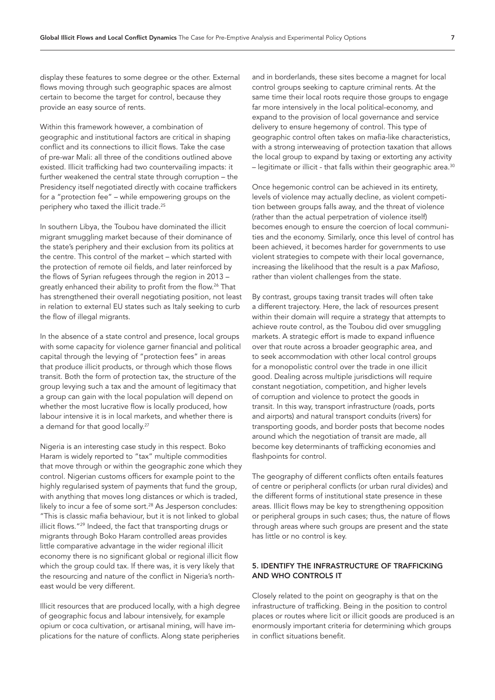display these features to some degree or the other. External flows moving through such geographic spaces are almost certain to become the target for control, because they provide an easy source of rents.

Within this framework however, a combination of geographic and institutional factors are critical in shaping conflict and its connections to illicit flows. Take the case of pre-war Mali: all three of the conditions outlined above existed. Illicit trafficking had two countervailing impacts: it further weakened the central state through corruption – the Presidency itself negotiated directly with cocaine traffickers for a "protection fee" – while empowering groups on the periphery who taxed the illicit trade[.25](#page-13-2)

In southern Libya, the Toubou have dominated the illicit migrant smuggling market because of their dominance of the state's periphery and their exclusion from its politics at the centre. This control of the market – which started with the protection of remote oil fields, and later reinforced by the flows of Syrian refugees through the region in 2013 – greatly enhanced their ability to profit from the flow.<sup>26</sup> That has strengthened their overall negotiating position, not least in relation to external EU states such as Italy seeking to curb the flow of illegal migrants.

In the absence of a state control and presence, local groups with some capacity for violence garner financial and political capital through the levying of "protection fees" in areas that produce illicit products, or through which those flows transit. Both the form of protection tax, the structure of the group levying such a tax and the amount of legitimacy that a group can gain with the local population will depend on whether the most lucrative flow is locally produced, how labour intensive it is in local markets, and whether there is a demand for that good locally.<sup>[27](#page-13-4)</sup>

Nigeria is an interesting case study in this respect. Boko Haram is widely reported to "tax" multiple commodities that move through or within the geographic zone which they control. Nigerian customs officers for example point to the highly regularised system of payments that fund the group, with anything that moves long distances or which is traded, likely to incur a fee of some sort.<sup>[28](#page-13-5)</sup> As Jesperson concludes: "This is classic mafia behaviour, but it is not linked to global illicit flows.["29](#page-13-6) Indeed, the fact that transporting drugs or migrants through Boko Haram controlled areas provides little comparative advantage in the wider regional illicit economy there is no significant global or regional illicit flow which the group could tax. If there was, it is very likely that the resourcing and nature of the conflict in Nigeria's northeast would be very different.

Illicit resources that are produced locally, with a high degree of geographic focus and labour intensively, for example opium or coca cultivation, or artisanal mining, will have implications for the nature of conflicts. Along state peripheries

and in borderlands, these sites become a magnet for local control groups seeking to capture criminal rents. At the same time their local roots require those groups to engage far more intensively in the local political-economy, and expand to the provision of local governance and service delivery to ensure hegemony of control. This type of geographic control often takes on mafia-like characteristics, with a strong interweaving of protection taxation that allows the local group to expand by taxing or extorting any activity - legitimate or illicit - that falls within their geographic area.<sup>30</sup>

Once hegemonic control can be achieved in its entirety, levels of violence may actually decline, as violent competition between groups falls away, and the threat of violence (rather than the actual perpetration of violence itself) becomes enough to ensure the coercion of local communities and the economy. Similarly, once this level of control has been achieved, it becomes harder for governments to use violent strategies to compete with their local governance, increasing the likelihood that the result is a *pax Mafioso*, rather than violent challenges from the state.

By contrast, groups taxing transit trades will often take a different trajectory. Here, the lack of resources present within their domain will require a strategy that attempts to achieve route control, as the Toubou did over smuggling markets. A strategic effort is made to expand influence over that route across a broader geographic area, and to seek accommodation with other local control groups for a monopolistic control over the trade in one illicit good. Dealing across multiple jurisdictions will require constant negotiation, competition, and higher levels of corruption and violence to protect the goods in transit. In this way, transport infrastructure (roads, ports and airports) and natural transport conduits (rivers) for transporting goods, and border posts that become nodes around which the negotiation of transit are made, all become key determinants of trafficking economies and flashpoints for control.

The geography of different conflicts often entails features of centre or peripheral conflicts (or urban rural divides) and the different forms of institutional state presence in these areas. Illicit flows may be key to strengthening opposition or peripheral groups in such cases; thus, the nature of flows through areas where such groups are present and the state has little or no control is key.

## 5. IDENTIFY THE INFRASTRUCTURE OF TRAFFICKING AND WHO CONTROLS IT

Closely related to the point on geography is that on the infrastructure of trafficking. Being in the position to control places or routes where licit or illicit goods are produced is an enormously important criteria for determining which groups in conflict situations benefit.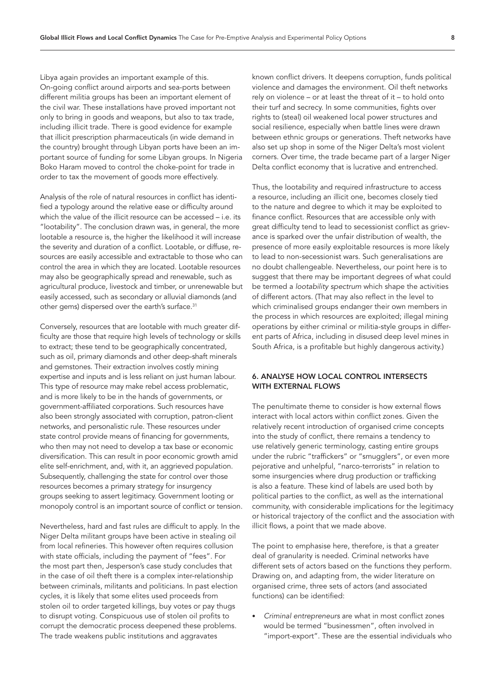Libya again provides an important example of this. On-going conflict around airports and sea-ports between different militia groups has been an important element of the civil war. These installations have proved important not only to bring in goods and weapons, but also to tax trade, including illicit trade. There is good evidence for example that illicit prescription pharmaceuticals (in wide demand in the country) brought through Libyan ports have been an important source of funding for some Libyan groups. In Nigeria Boko Haram moved to control the choke-point for trade in order to tax the movement of goods more effectively.

Analysis of the role of natural resources in conflict has identified a typology around the relative ease or difficulty around which the value of the illicit resource can be accessed – i.e. its "lootability". The conclusion drawn was, in general, the more lootable a resource is, the higher the likelihood it will increase the severity and duration of a conflict. Lootable, or diffuse, resources are easily accessible and extractable to those who can control the area in which they are located. Lootable resources may also be geographically spread and renewable, such as agricultural produce, livestock and timber, or unrenewable but easily accessed, such as secondary or alluvial diamonds (and other gems) dispersed over the earth's surface.<sup>31</sup>

Conversely, resources that are lootable with much greater difficulty are those that require high levels of technology or skills to extract; these tend to be geographically concentrated, such as oil, primary diamonds and other deep-shaft minerals and gemstones. Their extraction involves costly mining expertise and inputs and is less reliant on just human labour. This type of resource may make rebel access problematic, and is more likely to be in the hands of governments, or government-affiliated corporations. Such resources have also been strongly associated with corruption, patron-client networks, and personalistic rule. These resources under state control provide means of financing for governments, who then may not need to develop a tax base or economic diversification. This can result in poor economic growth amid elite self-enrichment, and, with it, an aggrieved population. Subsequently, challenging the state for control over those resources becomes a primary strategy for insurgency groups seeking to assert legitimacy. Government looting or monopoly control is an important source of conflict or tension.

Nevertheless, hard and fast rules are difficult to apply. In the Niger Delta militant groups have been active in stealing oil from local refineries. This however often requires collusion with state officials, including the payment of "fees". For the most part then, Jesperson's case study concludes that in the case of oil theft there is a complex inter-relationship between criminals, militants and politicians. In past election cycles, it is likely that some elites used proceeds from stolen oil to order targeted killings, buy votes or pay thugs to disrupt voting. Conspicuous use of stolen oil profits to corrupt the democratic process deepened these problems. The trade weakens public institutions and aggravates

known conflict drivers. It deepens corruption, funds political violence and damages the environment. Oil theft networks rely on violence – or at least the threat of it – to hold onto their turf and secrecy. In some communities, fights over rights to (steal) oil weakened local power structures and social resilience, especially when battle lines were drawn between ethnic groups or generations. Theft networks have also set up shop in some of the Niger Delta's most violent corners. Over time, the trade became part of a larger Niger Delta conflict economy that is lucrative and entrenched.

Thus, the lootability and required infrastructure to access a resource, including an illicit one, becomes closely tied to the nature and degree to which it may be exploited to finance conflict. Resources that are accessible only with great difficulty tend to lead to secessionist conflict as grievance is sparked over the unfair distribution of wealth, the presence of more easily exploitable resources is more likely to lead to non-secessionist wars. Such generalisations are no doubt challengeable. Nevertheless, our point here is to suggest that there may be important degrees of what could be termed a *lootability spectrum* which shape the activities of different actors. (That may also reflect in the level to which criminalised groups endanger their own members in the process in which resources are exploited; illegal mining operations by either criminal or militia-style groups in different parts of Africa, including in disused deep level mines in South Africa, is a profitable but highly dangerous activity.)

## 6. ANALYSE HOW LOCAL CONTROL INTERSECTS WITH EXTERNAL FLOWS

The penultimate theme to consider is how external flows interact with local actors within conflict zones. Given the relatively recent introduction of organised crime concepts into the study of conflict, there remains a tendency to use relatively generic terminology, casting entire groups under the rubric "traffickers" or "smugglers", or even more pejorative and unhelpful, "narco-terrorists" in relation to some insurgencies where drug production or trafficking is also a feature. These kind of labels are used both by political parties to the conflict, as well as the international community, with considerable implications for the legitimacy or historical trajectory of the conflict and the association with illicit flows, a point that we made above.

The point to emphasise here, therefore, is that a greater deal of granularity is needed. Criminal networks have different sets of actors based on the functions they perform. Drawing on, and adapting from, the wider literature on organised crime, three sets of actors (and associated functions) can be identified:

• *Criminal entrepreneurs* are what in most conflict zones would be termed "businessmen", often involved in "import-export". These are the essential individuals who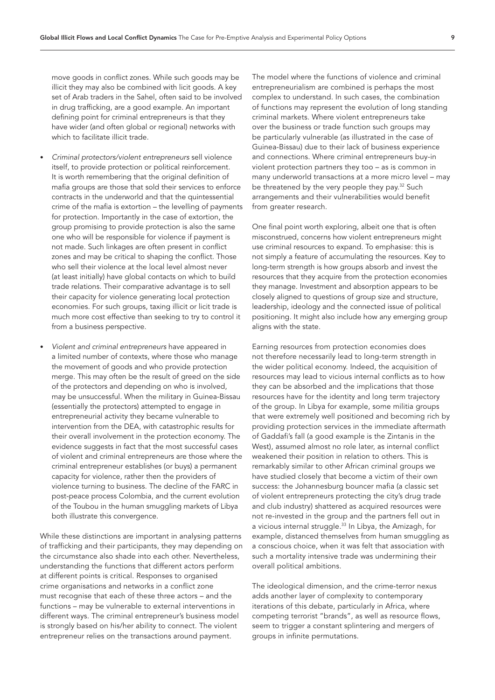move goods in conflict zones. While such goods may be illicit they may also be combined with licit goods. A key set of Arab traders in the Sahel, often said to be involved in drug trafficking, are a good example. An important defining point for criminal entrepreneurs is that they have wider (and often global or regional) networks with which to facilitate illicit trade.

- *Criminal protectors/violent entrepreneurs* sell violence itself, to provide protection or political reinforcement. It is worth remembering that the original definition of mafia groups are those that sold their services to enforce contracts in the underworld and that the quintessential crime of the mafia is extortion – the levelling of payments for protection. Importantly in the case of extortion, the group promising to provide protection is also the same one who will be responsible for violence if payment is not made. Such linkages are often present in conflict zones and may be critical to shaping the conflict. Those who sell their violence at the local level almost never (at least initially) have global contacts on which to build trade relations. Their comparative advantage is to sell their capacity for violence generating local protection economies. For such groups, taxing illicit or licit trade is much more cost effective than seeking to try to control it from a business perspective.
- *Violent and criminal entrepreneurs* have appeared in a limited number of contexts, where those who manage the movement of goods and who provide protection merge. This may often be the result of greed on the side of the protectors and depending on who is involved, may be unsuccessful. When the military in Guinea-Bissau (essentially the protectors) attempted to engage in entrepreneurial activity they became vulnerable to intervention from the DEA, with catastrophic results for their overall involvement in the protection economy. The evidence suggests in fact that the most successful cases of violent and criminal entrepreneurs are those where the criminal entrepreneur establishes (or buys) a permanent capacity for violence, rather then the providers of violence turning to business. The decline of the FARC in post-peace process Colombia, and the current evolution of the Toubou in the human smuggling markets of Libya both illustrate this convergence.

While these distinctions are important in analysing patterns of trafficking and their participants, they may depending on the circumstance also shade into each other. Nevertheless, understanding the functions that different actors perform at different points is critical. Responses to organised crime organisations and networks in a conflict zone must recognise that each of these three actors – and the functions – may be vulnerable to external interventions in different ways. The criminal entrepreneur's business model is strongly based on his/her ability to connect. The violent entrepreneur relies on the transactions around payment.

The model where the functions of violence and criminal entrepreneurialism are combined is perhaps the most complex to understand. In such cases, the combination of functions may represent the evolution of long standing criminal markets. Where violent entrepreneurs take over the business or trade function such groups may be particularly vulnerable (as illustrated in the case of Guinea-Bissau) due to their lack of business experience and connections. Where criminal entrepreneurs buy-in violent protection partners they too – as is common in many underworld transactions at a more micro level – may be threatened by the very people they pay.[32](#page-13-9) Such arrangements and their vulnerabilities would benefit from greater research.

One final point worth exploring, albeit one that is often misconstrued, concerns how violent entrepreneurs might use criminal resources to expand. To emphasise: this is not simply a feature of accumulating the resources. Key to long-term strength is how groups absorb and invest the resources that they acquire from the protection economies they manage. Investment and absorption appears to be closely aligned to questions of group size and structure, leadership, ideology and the connected issue of political positioning. It might also include how any emerging group aligns with the state.

Earning resources from protection economies does not therefore necessarily lead to long-term strength in the wider political economy. Indeed, the acquisition of resources may lead to vicious internal conflicts as to how they can be absorbed and the implications that those resources have for the identity and long term trajectory of the group. In Libya for example, some militia groups that were extremely well positioned and becoming rich by providing protection services in the immediate aftermath of Gaddafi's fall (a good example is the Zintanis in the West), assumed almost no role later, as internal conflict weakened their position in relation to others. This is remarkably similar to other African criminal groups we have studied closely that become a victim of their own success: the Johannesburg bouncer mafia (a classic set of violent entrepreneurs protecting the city's drug trade and club industry) shattered as acquired resources were not re-invested in the group and the partners fell out in a vicious internal struggle.<sup>33</sup> In Libya, the Amizagh, for example, distanced themselves from human smuggling as a conscious choice, when it was felt that association with such a mortality intensive trade was undermining their overall political ambitions.

The ideological dimension, and the crime-terror nexus adds another layer of complexity to contemporary iterations of this debate, particularly in Africa, where competing terrorist "brands", as well as resource flows, seem to trigger a constant splintering and mergers of groups in infinite permutations.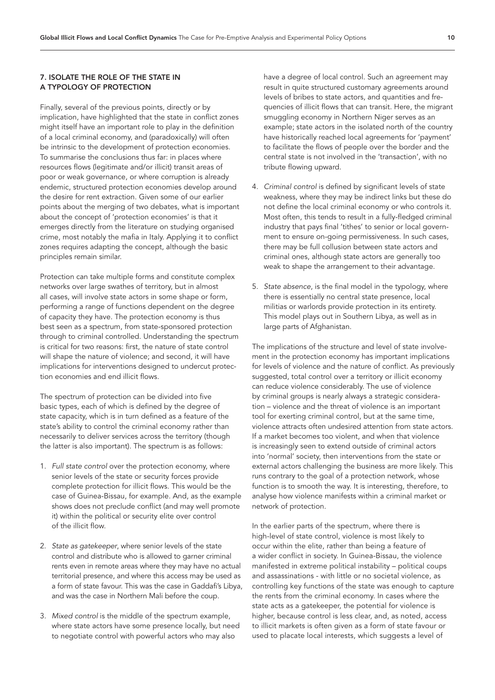#### 7. ISOLATE THE ROLE OF THE STATE IN A TYPOLOGY OF PROTECTION

Finally, several of the previous points, directly or by implication, have highlighted that the state in conflict zones might itself have an important role to play in the definition of a local criminal economy, and (paradoxically) will often be intrinsic to the development of protection economies. To summarise the conclusions thus far: in places where resources flows (legitimate and/or illicit) transit areas of poor or weak governance, or where corruption is already endemic, structured protection economies develop around the desire for rent extraction. Given some of our earlier points about the merging of two debates, what is important about the concept of 'protection economies' is that it emerges directly from the literature on studying organised crime, most notably the mafia in Italy. Applying it to conflict zones requires adapting the concept, although the basic principles remain similar.

Protection can take multiple forms and constitute complex networks over large swathes of territory, but in almost all cases, will involve state actors in some shape or form, performing a range of functions dependent on the degree of capacity they have. The protection economy is thus best seen as a spectrum, from state-sponsored protection through to criminal controlled. Understanding the spectrum is critical for two reasons: first, the nature of state control will shape the nature of violence; and second, it will have implications for interventions designed to undercut protection economies and end illicit flows.

The spectrum of protection can be divided into five basic types, each of which is defined by the degree of state capacity, which is in turn defined as a feature of the state's ability to control the criminal economy rather than necessarily to deliver services across the territory (though the latter is also important). The spectrum is as follows:

- 1. *Full state control* over the protection economy, where senior levels of the state or security forces provide complete protection for illicit flows. This would be the case of Guinea-Bissau, for example. And, as the example shows does not preclude conflict (and may well promote it) within the political or security elite over control of the illicit flow.
- 2. *State as gatekeeper*, where senior levels of the state control and distribute who is allowed to garner criminal rents even in remote areas where they may have no actual territorial presence, and where this access may be used as a form of state favour. This was the case in Gaddafi's Libya, and was the case in Northern Mali before the coup.
- 3. *Mixed control* is the middle of the spectrum example, where state actors have some presence locally, but need to negotiate control with powerful actors who may also

have a degree of local control. Such an agreement may result in quite structured customary agreements around levels of bribes to state actors, and quantities and frequencies of illicit flows that can transit. Here, the migrant smuggling economy in Northern Niger serves as an example; state actors in the isolated north of the country have historically reached local agreements for 'payment' to facilitate the flows of people over the border and the central state is not involved in the 'transaction', with no tribute flowing upward.

- 4. *Criminal control* is defined by significant levels of state weakness, where they may be indirect links but these do not define the local criminal economy or who controls it. Most often, this tends to result in a fully-fledged criminal industry that pays final 'tithes' to senior or local government to ensure on-going permissiveness. In such cases, there may be full collusion between state actors and criminal ones, although state actors are generally too weak to shape the arrangement to their advantage.
- 5. *State absence*, is the final model in the typology, where there is essentially no central state presence, local militias or warlords provide protection in its entirety. This model plays out in Southern Libya, as well as in large parts of Afghanistan.

The implications of the structure and level of state involvement in the protection economy has important implications for levels of violence and the nature of conflict. As previously suggested, total control over a territory or illicit economy can reduce violence considerably. The use of violence by criminal groups is nearly always a strategic consideration – violence and the threat of violence is an important tool for exerting criminal control, but at the same time, violence attracts often undesired attention from state actors. If a market becomes too violent, and when that violence is increasingly seen to extend outside of criminal actors into 'normal' society, then interventions from the state or external actors challenging the business are more likely. This runs contrary to the goal of a protection network, whose function is to smooth the way. It is interesting, therefore, to analyse how violence manifests within a criminal market or network of protection.

In the earlier parts of the spectrum, where there is high-level of state control, violence is most likely to occur within the elite, rather than being a feature of a wider conflict in society. In Guinea-Bissau, the violence manifested in extreme political instability – political coups and assassinations - with little or no societal violence, as controlling key functions of the state was enough to capture the rents from the criminal economy. In cases where the state acts as a gatekeeper, the potential for violence is higher, because control is less clear, and, as noted, access to illicit markets is often given as a form of state favour or used to placate local interests, which suggests a level of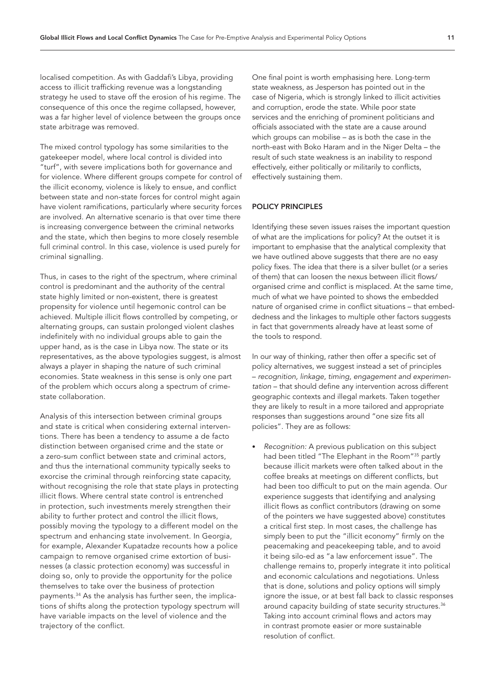localised competition. As with Gaddafi's Libya, providing access to illicit trafficking revenue was a longstanding strategy he used to stave off the erosion of his regime. The consequence of this once the regime collapsed, however, was a far higher level of violence between the groups once state arbitrage was removed.

The mixed control typology has some similarities to the gatekeeper model, where local control is divided into "turf", with severe implications both for governance and for violence. Where different groups compete for control of the illicit economy, violence is likely to ensue, and conflict between state and non-state forces for control might again have violent ramifications, particularly where security forces are involved. An alternative scenario is that over time there is increasing convergence between the criminal networks and the state, which then begins to more closely resemble full criminal control. In this case, violence is used purely for criminal signalling.

Thus, in cases to the right of the spectrum, where criminal control is predominant and the authority of the central state highly limited or non-existent, there is greatest propensity for violence until hegemonic control can be achieved. Multiple illicit flows controlled by competing, or alternating groups, can sustain prolonged violent clashes indefinitely with no individual groups able to gain the upper hand, as is the case in Libya now. The state or its representatives, as the above typologies suggest, is almost always a player in shaping the nature of such criminal economies. State weakness in this sense is only one part of the problem which occurs along a spectrum of crimestate collaboration.

Analysis of this intersection between criminal groups and state is critical when considering external interventions. There has been a tendency to assume a de facto distinction between organised crime and the state or a zero-sum conflict between state and criminal actors, and thus the international community typically seeks to exorcise the criminal through reinforcing state capacity, without recognising the role that state plays in protecting illicit flows. Where central state control is entrenched in protection, such investments merely strengthen their ability to further protect and control the illicit flows, possibly moving the typology to a different model on the spectrum and enhancing state involvement. In Georgia, for example, Alexander Kupatadze recounts how a police campaign to remove organised crime extortion of businesses (a classic protection economy) was successful in doing so, only to provide the opportunity for the police themselves to take over the business of protection payments.[34](#page-13-11) As the analysis has further seen, the implications of shifts along the protection typology spectrum will have variable impacts on the level of violence and the trajectory of the conflict.

One final point is worth emphasising here. Long-term state weakness, as Jesperson has pointed out in the case of Nigeria, which is strongly linked to illicit activities and corruption, erode the state. While poor state services and the enriching of prominent politicians and officials associated with the state are a cause around which groups can mobilise – as is both the case in the north-east with Boko Haram and in the Niger Delta – the result of such state weakness is an inability to respond effectively, either politically or militarily to conflicts, effectively sustaining them.

# POLICY PRINCIPLES

Identifying these seven issues raises the important question of what are the implications for policy? At the outset it is important to emphasise that the analytical complexity that we have outlined above suggests that there are no easy policy fixes. The idea that there is a silver bullet (or a series of them) that can loosen the nexus between illicit flows/ organised crime and conflict is misplaced. At the same time, much of what we have pointed to shows the embedded nature of organised crime in conflict situations – that embeddedness and the linkages to multiple other factors suggests in fact that governments already have at least some of the tools to respond.

In our way of thinking, rather then offer a specific set of policy alternatives, we suggest instead a set of principles – *recognition, linkage, timing, engagement and experimentation* – that should define any intervention across different geographic contexts and illegal markets. Taken together they are likely to result in a more tailored and appropriate responses than suggestions around "one size fits all policies". They are as follows:

• *Recognition:* A previous publication on this subject had been titled "The Elephant in the Room["35](#page-13-12) partly because illicit markets were often talked about in the coffee breaks at meetings on different conflicts, but had been too difficult to put on the main agenda. Our experience suggests that identifying and analysing illicit flows as conflict contributors (drawing on some of the pointers we have suggested above) constitutes a critical first step. In most cases, the challenge has simply been to put the "illicit economy" firmly on the peacemaking and peacekeeping table, and to avoid it being silo-ed as "a law enforcement issue". The challenge remains to, properly integrate it into political and economic calculations and negotiations. Unless that is done, solutions and policy options will simply ignore the issue, or at best fall back to classic responses around capacity building of state security structures.<sup>[36](#page-13-13)</sup> Taking into account criminal flows and actors may in contrast promote easier or more sustainable resolution of conflict.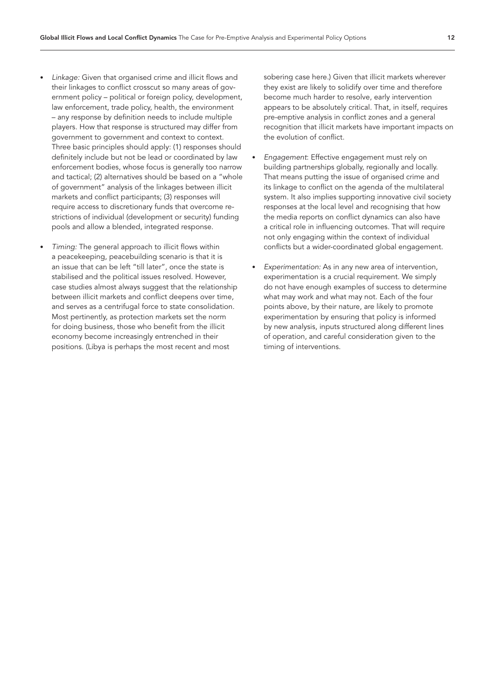- *Linkage:* Given that organised crime and illicit flows and their linkages to conflict crosscut so many areas of government policy – political or foreign policy, development, law enforcement, trade policy, health, the environment – any response by definition needs to include multiple players. How that response is structured may differ from government to government and context to context. Three basic principles should apply: (1) responses should definitely include but not be lead or coordinated by law enforcement bodies, whose focus is generally too narrow and tactical; (2) alternatives should be based on a "whole of government" analysis of the linkages between illicit markets and conflict participants; (3) responses will require access to discretionary funds that overcome restrictions of individual (development or security) funding pools and allow a blended, integrated response.
- *Timing:* The general approach to illicit flows within a peacekeeping, peacebuilding scenario is that it is an issue that can be left "till later", once the state is stabilised and the political issues resolved. However, case studies almost always suggest that the relationship between illicit markets and conflict deepens over time, and serves as a centrifugal force to state consolidation. Most pertinently, as protection markets set the norm for doing business, those who benefit from the illicit economy become increasingly entrenched in their positions. (Libya is perhaps the most recent and most

sobering case here.) Given that illicit markets wherever they exist are likely to solidify over time and therefore become much harder to resolve, early intervention appears to be absolutely critical. That, in itself, requires pre-emptive analysis in conflict zones and a general recognition that illicit markets have important impacts on the evolution of conflict.

- *Engagement*: Effective engagement must rely on building partnerships globally, regionally and locally. That means putting the issue of organised crime and its linkage to conflict on the agenda of the multilateral system. It also implies supporting innovative civil society responses at the local level and recognising that how the media reports on conflict dynamics can also have a critical role in influencing outcomes. That will require not only engaging within the context of individual conflicts but a wider-coordinated global engagement.
- *Experimentation:* As in any new area of intervention, experimentation is a crucial requirement. We simply do not have enough examples of success to determine what may work and what may not. Each of the four points above, by their nature, are likely to promote experimentation by ensuring that policy is informed by new analysis, inputs structured along different lines of operation, and careful consideration given to the timing of interventions.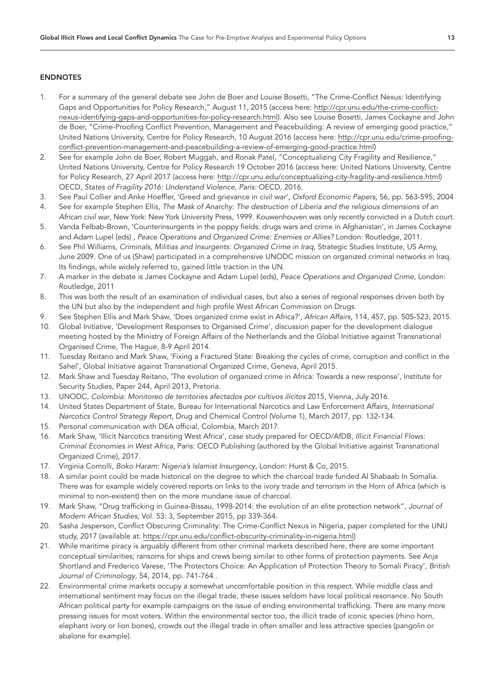#### ENDNOTES

- <span id="page-12-0"></span>1. For a summary of the general debate see John de Boer and Louise Bosetti, "The Crime-Conflict Nexus: Identifying Gaps and Opportunities for Policy Research," August 11, 2015 (access here: [http://cpr.unu.edu/the-crime-conflict](http://cpr.unu.edu/the-crime-conflict-nexus-identifying-gaps-and-opportunities-for-policy-research.html)[nexus-identifying-gaps-and-opportunities-for-policy-research.html\)](http://cpr.unu.edu/the-crime-conflict-nexus-identifying-gaps-and-opportunities-for-policy-research.html). Also see Louise Bosetti, James Cockayne and John de Boer, "Crime-Proofing Conflict Prevention, Management and Peacebuilding: A review of emerging good practice," United Nations University, Centre for Policy Research, 10 August 2016 (access here: [http://cpr.unu.edu/crime-proofing](http://cpr.unu.edu/crime-proofing-conflict-prevention-management-and-peacebuilding-a-review-of-emerging-good-practice.html)[conflict-prevention-management-and-peacebuilding-a-review-of-emerging-good-practice.html\)](http://cpr.unu.edu/crime-proofing-conflict-prevention-management-and-peacebuilding-a-review-of-emerging-good-practice.html)
- <span id="page-12-1"></span>2. See for example John de Boer, Robert Muggah, and Ronak Patel, "Conceptualizing City Fragility and Resilience," United Nations University, Centre for Policy Research 19 October 2016 (access here: United Nations University, Centre for Policy Research, 27 April 2017 (access here: [http://cpr.unu.edu/conceptualizing-city-fragility-and-resilience.html\)](http://cpr.unu.edu/conceptualizing-city-fragility-and-resilience.html) OECD, *States of Fragility 2016: Understand Violence, Paris:* OECD, 2016.
- <span id="page-12-2"></span>3. See Paul Collier and Anke Hoeffler, 'Greed and grievance in civil war', *Oxford Economic Papers*, 56, pp. 563-595, 2004
- <span id="page-12-3"></span>4. See for example Stephen Ellis, *The Mask of Anarchy: The destruction of Liberia and the religious dimensions of an African civil war*, New York: New York University Press, 1999. Kouwenhouven was only recently convicted in a Dutch court.
- <span id="page-12-4"></span>5. Vanda Felbab-Brown, 'Counterinsurgents in the poppy fields: drugs wars and crime in Afghanistan', in James Cockayne and Adam Lupel (eds) , *Peace Operations and Organized Crime: Enemies or Allies?* London: Routledge, 2011.
- <span id="page-12-5"></span>6. See Phil Williams, *Criminals, Militias and Insurgents: Organized Crime in Iraq*, Strategic Studies Institute, US Army, June 2009. One of us (Shaw) participated in a comprehensive UNODC mission on organized criminal networks in Iraq. Its findings, while widely referred to, gained little traction in the UN.
- <span id="page-12-6"></span>7. A marker in the debate is James Cockayne and Adam Lupel (eds), *Peace Operations and Organized Crime*, London: Routledge, 2011
- <span id="page-12-7"></span>8. This was both the result of an examination of individual cases, but also a series of regional responses driven both by the UN but also by the independent and high profile West African Commission on Drugs.
- <span id="page-12-8"></span>9. See Stephen Ellis and Mark Shaw, 'Does organized crime exist in Africa?', *African Affairs*, 114, 457, pp. 505-523, 2015.
- <span id="page-12-9"></span>10. Global Initiative, 'Development Responses to Organised Crime', discussion paper for the development dialogue meeting hosted by the Ministry of Foreign Affairs of the Netherlands and the Global Initiative against Transnational Organised Crime, The Hague, 8-9 April 2014.
- <span id="page-12-10"></span>11. Tuesday Reitano and Mark Shaw, 'Fixing a Fractured State: Breaking the cycles of crime, corruption and conflict in the Sahel', Global Initiative against Transnational Organized Crime, Geneva, April 2015.
- <span id="page-12-11"></span>12. Mark Shaw and Tuesday Reitano, 'The evolution of organized crime in Africa: Towards a new response', Institute for Security Studies, Paper 244, April 2013, Pretoria.
- <span id="page-12-12"></span>13. UNODC, *Colombia: Monitoreo de territories afectados por cultivos ilícitos* 2015, Vienna, July 2016.
- <span id="page-12-13"></span>14. United States Department of State, Bureau for International Narcotics and Law Enforcement Affairs, *International Narcotics Control Strategy Report*, Drug and Chemical Control (Volume 1), March 2017, pp. 132-134.
- <span id="page-12-14"></span>15. Personal communication with DEA official, Colombia, March 2017.
- <span id="page-12-15"></span>16. Mark Shaw, 'Illicit Narcotics transiting West Africa', case study prepared for OECD/AfDB, *Illicit Financial Flows: Criminal Economies in West Africa*, Paris: OECD Publishing (authored by the Global Initiative against Transnational Organized Crime), 2017.
- <span id="page-12-16"></span>17. Virginia Comolli, *Boko Haram: Nigeria's Islamist Insurgency*, London: Hurst & Co, 2015.
- <span id="page-12-17"></span>18. A similar point could be made historical on the degree to which the charcoal trade funded Al Shabaab In Somalia. There was for example widely covered reports on links to the ivory trade and terrorism in the Horn of Africa (which is minimal to non-existent) then on the more mundane issue of charcoal.
- <span id="page-12-18"></span>19. Mark Shaw, "Drug trafficking in Guinea-Bissau, 1998-2014: the evolution of an elite protection network", *Journal of Modern African Studies,* Vol. 53: 3, September 2015, pp 339-364.
- <span id="page-12-19"></span>20. Sasha Jesperson, Conflict Obscuring Criminality: The Crime-Conflict Nexus in Nigeria, paper completed for the UNU study, 2017 (available at:<https://cpr.unu.edu/conflict-obscurity-criminality-in-nigeria.html>)
- <span id="page-12-20"></span>21. While maritime piracy is arguably different from other criminal markets described here, there are some important conceptual similarities; ransoms for ships and crews being similar to other forms of protection payments. See Anja Shortland and Frederico Varese, 'The Protectors Choice: An Application of Protection Theory to Somali Piracy', *British Journal of Criminology*, 54, 2014, pp. 741-764..
- <span id="page-12-21"></span>22. Environmental crime markets occupy a somewhat uncomfortable position in this respect. While middle class and international sentiment may focus on the illegal trade, these issues seldom have local political resonance. No South African political party for example campaigns on the issue of ending environmental trafficking. There are many more pressing issues for most voters. Within the environmental sector too, the illicit trade of iconic species (rhino horn, elephant ivory or lion bones), crowds out the illegal trade in often smaller and less attractive species (pangolin or abalone for example).